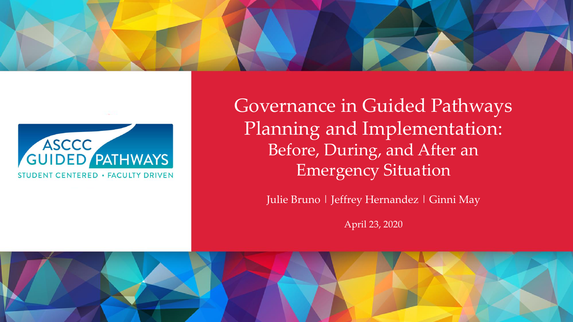



Governance in Guided Pathways Planning and Implementation: Before, During, and After an Emergency Situation

Julie Bruno | Jeffrey Hernandez | Ginni May

April 23, 2020

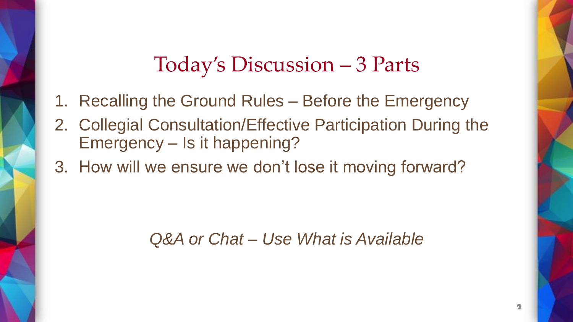#### Today's Discussion – 3 Parts

- 1. Recalling the Ground Rules Before the Emergency
- 2. Collegial Consultation/Effective Participation During the Emergency – Is it happening?
- 3. How will we ensure we don't lose it moving forward?

*Q&A or Chat – Use What is Available*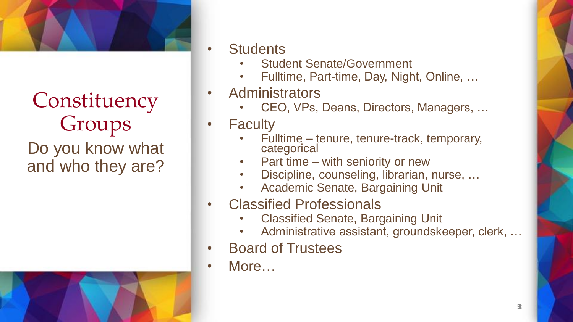

**Constituency** Groups Do you know what and who they are?



- **Students** 
	- Student Senate/Government
	- Fulltime, Part-time, Day, Night, Online, …
- **Administrators** 
	- CEO, VPs, Deans, Directors, Managers, …
- Faculty
	- Fulltime tenure, tenure-track, temporary, categorical
	- Part time with seniority or new
	- Discipline, counseling, librarian, nurse, …
	- Academic Senate, Bargaining Unit
- Classified Professionals
	- Classified Senate, Bargaining Unit
	- Administrative assistant, groundskeeper, clerk, ...
- Board of Trustees
- More…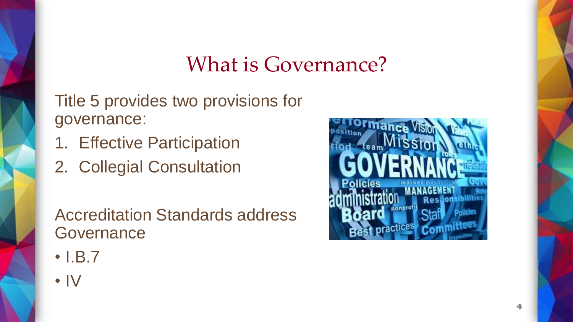## What is Governance?

Title 5 provides two provisions for governance:

- 1. Effective Participation
- 2. Collegial Consultation

Accreditation Standards address **Governance** 

- I.B.7
- IV

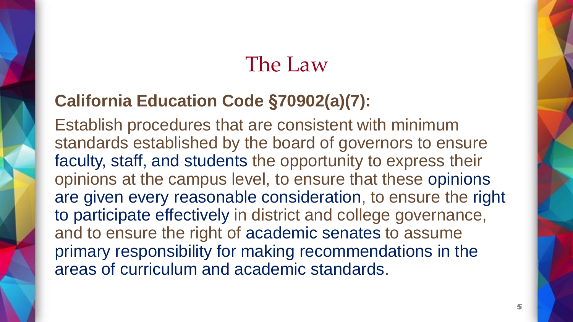#### The Law

#### **California Education Code §70902(a)(7):**

Establish procedures that are consistent with minimum standards established by the board of governors to ensure faculty, staff, and students the opportunity to express their opinions at the campus level, to ensure that these opinions are given every reasonable consideration, to ensure the right to participate effectively in district and college governance, and to ensure the right of academic senates to assume primary responsibility for making recommendations in the areas of curriculum and academic standards.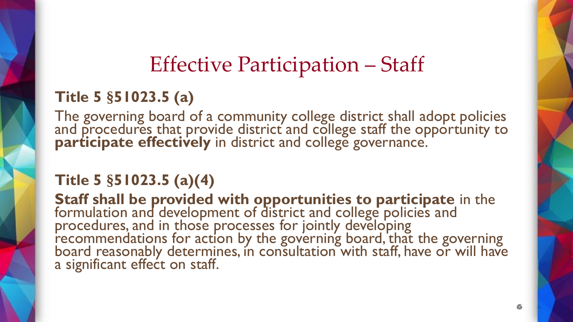# Effective Participation – Staff

#### **Title 5 §51023.5 (a)**

The governing board of a community college district shall adopt policies and procedures that provide district and college staff the opportunity to participate effectively in district and college governance.

#### **Title 5 §51023.5 (a)(4)**

**Staff shall be provided with opportunities to participate** in the formulation and development of district and college policies and procedures, and in those processes for jointly developing recommendations for action by the governing board, that the governing board reasonably determines, in consultation with staff, have or will have a significant effect on staff.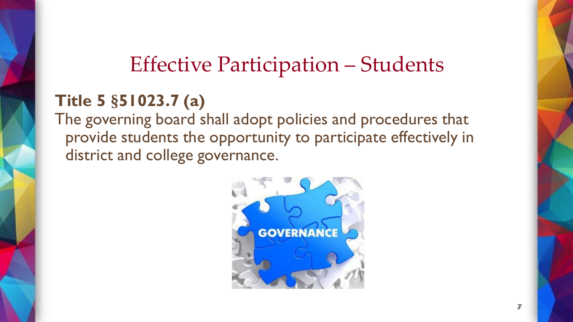# Effective Participation – Students

#### **Title 5 §51023.7 (a)**

The governing board shall adopt policies and procedures that provide students the opportunity to participate effectively in district and college governance.

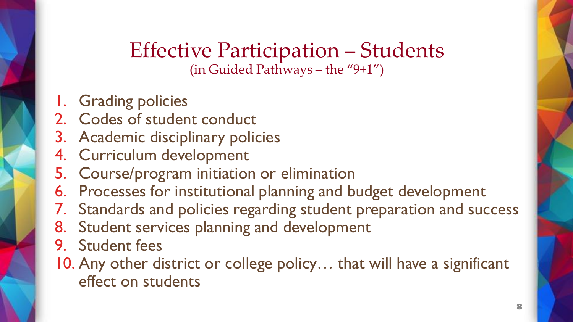#### Effective Participation – Students (in Guided Pathways – the "9+1")

- 1. Grading policies
- 2. Codes of student conduct
- 3. Academic disciplinary policies
- 4. Curriculum development
- 5. Course/program initiation or elimination
- 6. Processes for institutional planning and budget development
- 7. Standards and policies regarding student preparation and success
- 8. Student services planning and development
- 9. Student fees
- 10. Any other district or college policy… that will have a significant effect on students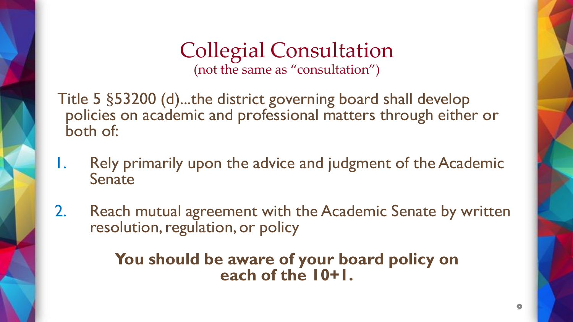#### Collegial Consultation (not the same as "consultation")

Title 5 §53200 (d)...the district governing board shall develop policies on academic and professional matters through either or both of:

- 1. Rely primarily upon the advice and judgment of the Academic Senate
- 2. Reach mutual agreement with the Academic Senate by written resolution, regulation, or policy

#### **You should be aware of your board policy on each of the 10+1.**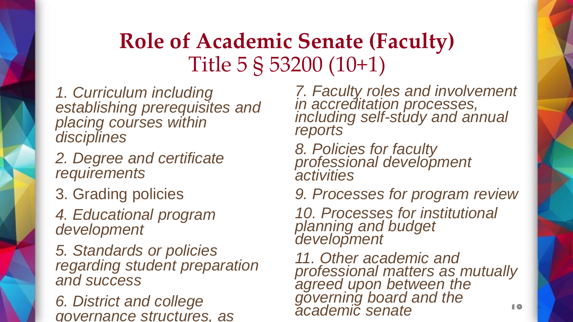# **Role of Academic Senate (Faculty)** Title 5 § 53200 (10+1)

*1. Curriculum including establishing prerequisites and placing courses within disciplines*

*2. Degree and certificate requirements*

3. Grading policies

*4. Educational program development*

*5. Standards or policies regarding student preparation and success*

*6. District and college governance structures, as* 

*7. Faculty roles and involvement in accreditation processes, including self-study and annual reports*

- *8. Policies for faculty professional development activities*
- *9. Processes for program review*

*10. Processes for institutional planning and budget development*

*11. Other academic and professional matters as mutually agreed upon between the governing board and the academic senate*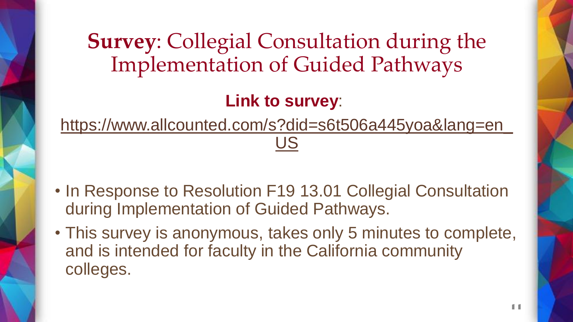## **Survey**: Collegial Consultation during the Implementation of Guided Pathways

#### **Link to survey**:

[https://www.allcounted.com/s?did=s6t506a445yoa&lang=en\\_](https://www.allcounted.com/s?did=s6t506a445yoa&lang=en_US) US

- In Response to Resolution F19 13.01 Collegial Consultation during Implementation of Guided Pathways.
- This survey is anonymous, takes only 5 minutes to complete, and is intended for faculty in the California community colleges.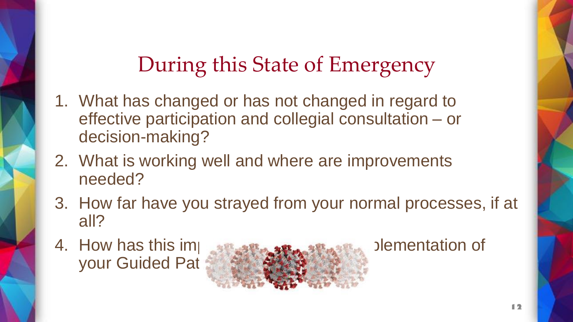# During this State of Emergency

- 1. What has changed or has not changed in regard to effective participation and collegial consultation – or decision-making?
- 2. What is working well and where are improvements needed?
- 3. How far have you strayed from your normal processes, if at all?
- your Guided Pat

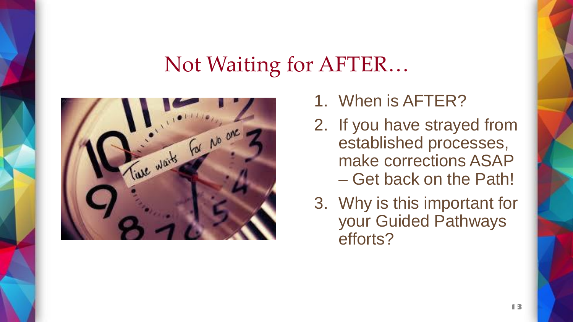## Not Waiting for AFTER…



- 1. When is AFTER?
- 2. If you have strayed from established processes, make corrections ASAP – Get back on the Path!
- 3. Why is this important for your Guided Pathways efforts?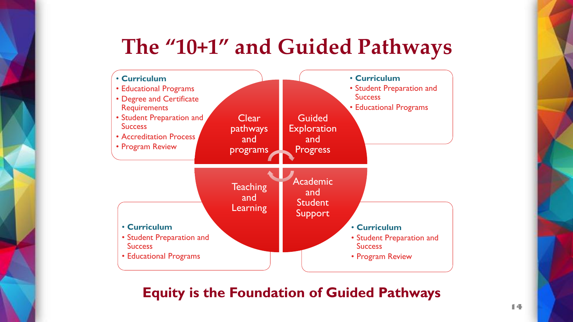## **The "10+1" and Guided Pathways**



#### **Equity is the Foundation of Guided Pathways**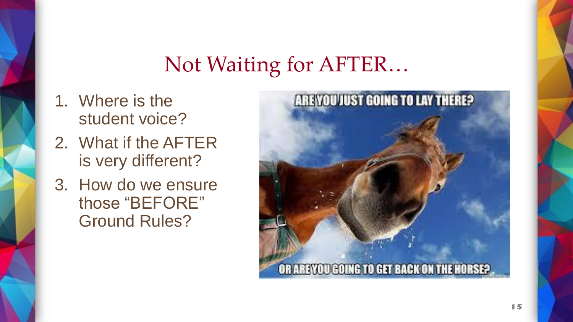## Not Waiting for AFTER…

- 1. Where is the student voice?
- 2. What if the AFTER is very different?
- 3. How do we ensure those "BEFORE" Ground Rules?

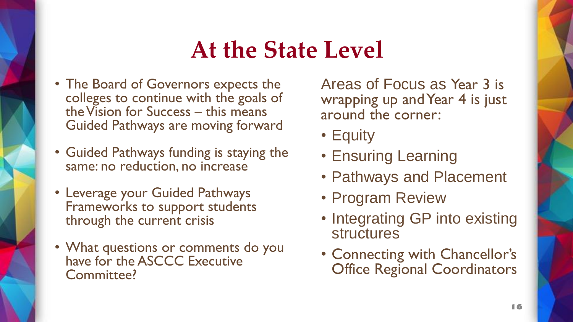# **At the State Level**

- The Board of Governors expects the colleges to continue with the goals of the Vision for Success – this means Guided Pathways are moving forward
- Guided Pathways funding is staying the same: no reduction, no increase
- Leverage your Guided Pathways Frameworks to support students through the current crisis
- What questions or comments do you have for the ASCCC Executive Committee?

Areas of Focus as Year 3 is wrapping up and Year 4 is just around the corner:

- Equity
- Ensuring Learning
- Pathways and Placement
- Program Review
- Integrating GP into existing structures
- Connecting with Chancellor's Office Regional Coordinators